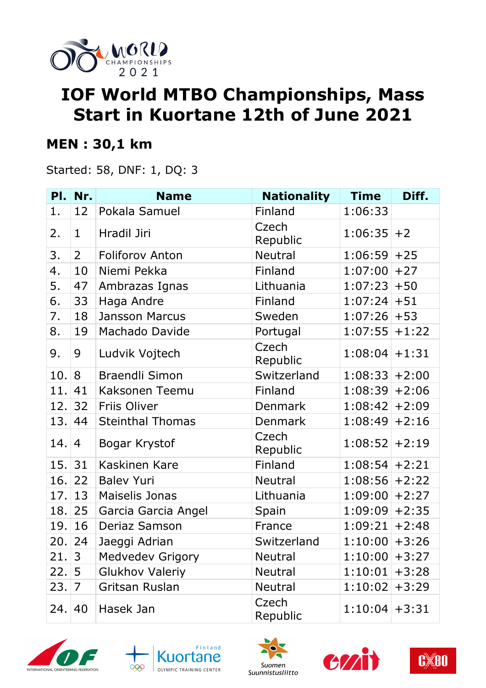

# **IOF World MTBO Championships, Mass Start in Kuortane 12th of June 2021**

#### **MEN : 30,1 km**

Started: 58, DNF: 1, DQ: 3

|       | PI. Nr.        | <b>Name</b>             | <b>Nationality</b> | <b>Time</b>      | Diff.   |
|-------|----------------|-------------------------|--------------------|------------------|---------|
| 1.    | 12             | Pokala Samuel           | Finland            | 1:06:33          |         |
| 2.    | $\mathbf 1$    | Hradil Jiri             | Czech<br>Republic  | $1:06:35$ +2     |         |
| 3.    | $\overline{2}$ | <b>Foliforov Anton</b>  | Neutral            | $1:06:59$ +25    |         |
| 4.    | 10             | Niemi Pekka             | Finland            | $1:07:00$ +27    |         |
| 5.    | 47             | Ambrazas Ignas          | Lithuania          | $1:07:23+50$     |         |
| 6.    | 33             | Haga Andre              | Finland            | $1:07:24$ + 51   |         |
| 7.    | 18             | Jansson Marcus          | Sweden             | $1:07:26$ + 53   |         |
| 8.    | 19             | Machado Davide          | Portugal           | $1:07:55$ +1:22  |         |
| 9.    | 9              | Ludvik Vojtech          | Czech<br>Republic  | $1:08:04$ + 1:31 |         |
| 10.   | 8              | <b>Braendli Simon</b>   | Switzerland        | $1:08:33+2:00$   |         |
| 11.   | 41             | Kaksonen Teemu          | Finland            | $1:08:39$ + 2:06 |         |
| 12.   | 32             | Friis Oliver            | Denmark            | $1:08:42$ +2:09  |         |
| 13.   | 44             | <b>Steinthal Thomas</b> | <b>Denmark</b>     | $1:08:49$ + 2:16 |         |
| 14.1  | 4              | Bogar Krystof           | Czech<br>Republic  | $1:08:52$ +2:19  |         |
| 15.31 |                | Kaskinen Kare           | Finland            | $1:08:54$ + 2:21 |         |
| 16.   | 22             | <b>Balev Yuri</b>       | Neutral            | $1:08:56$ +2:22  |         |
| 17.   | 13             | Maiselis Jonas          | Lithuania          | $1:09:00$ +2:27  |         |
| 18.   | 25             | Garcia Garcia Angel     | Spain              | $1:09:09$ +2:35  |         |
| 19.   | 16             | Deriaz Samson           | France             | $1:09:21$ +2:48  |         |
| 20.   | 24             | Jaeggi Adrian           | Switzerland        | $1:10:00$ + 3:26 |         |
| 21.   | $\overline{3}$ | <b>Medvedev Grigory</b> | Neutral            | $1:10:00$ + 3:27 |         |
| 22.   | 5              | <b>Glukhov Valeriy</b>  | Neutral            | 1:10:01          | $+3:28$ |
| 23.   | 7              | Gritsan Ruslan          | Neutral            | $1:10:02$ + 3:29 |         |
| 24.1  | 40             | Hasek Jan               | Czech<br>Republic  | $1:10:04$ + 3:31 |         |









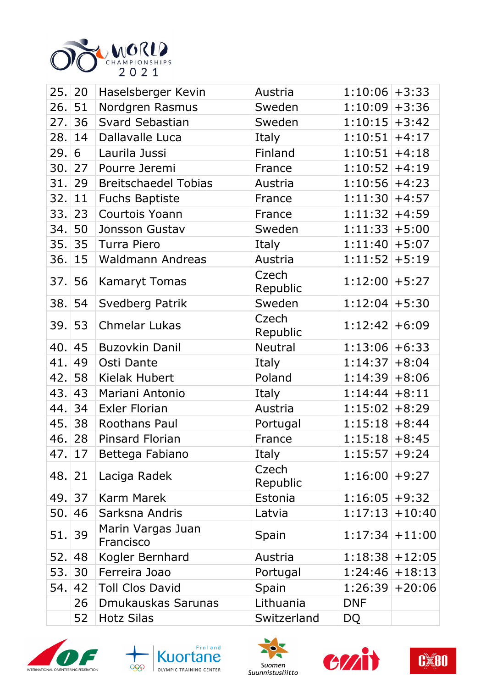

| 25.   20 |         | Haselsberger Kevin             | Austria           | $1:10:06$ + 3:33  |                   |
|----------|---------|--------------------------------|-------------------|-------------------|-------------------|
| 26.      | 51      | Nordgren Rasmus                | Sweden            | $1:10:09$ + 3:36  |                   |
| 27.      | 36      | <b>Svard Sebastian</b>         | Sweden            | $1:10:15$ + 3:42  |                   |
| 28.      | 14      | Dallavalle Luca                | Italy             | $1:10:51$ +4:17   |                   |
| 29.      | 6       | Laurila Jussi                  | Finland           | $1:10:51$ +4:18   |                   |
| 30.27    |         | Pourre Jeremi                  | France            | $1:10:52$ +4:19   |                   |
| 31.      | 29      | <b>Breitschaedel Tobias</b>    | Austria           | $1:10:56$ +4:23   |                   |
| 32.      | 11      | <b>Fuchs Baptiste</b>          | France            | $1:11:30$ +4:57   |                   |
| 33.      | 23      | Courtois Yoann                 | France            | $1:11:32$ +4:59   |                   |
| 34.      | 50      | Jonsson Gustav                 | Sweden            | $1:11:33+5:00$    |                   |
| 35.      | 35      | Turra Piero                    | Italy             | $1:11:40$ + 5:07  |                   |
| 36.      | 15      | <b>Waldmann Andreas</b>        | Austria           | $1:11:52$ + 5:19  |                   |
| 37.56    |         | <b>Kamaryt Tomas</b>           | Czech<br>Republic | $1:12:00$ + 5:27  |                   |
| 38.      | 54      | Svedberg Patrik                | Sweden            | $1:12:04$ + 5:30  |                   |
| 39.53    |         | <b>Chmelar Lukas</b>           | Czech<br>Republic | $1:12:42$ +6:09   |                   |
| 40.      | 45      | <b>Buzovkin Danil</b>          | <b>Neutral</b>    | $1:13:06$ +6:33   |                   |
| 41.      | 49      | Osti Dante                     | Italy             | $1:14:37+8:04$    |                   |
| 42.      | 58      | Kielak Hubert                  | Poland            | $1:14:39+8:06$    |                   |
| 43.      | 43      | Mariani Antonio                | Italy             | $1:14:44$ +8:11   |                   |
| 44.      | 34      | <b>Exler Florian</b>           | Austria           | $1:15:02$ +8:29   |                   |
| 45.      | 38      | Roothans Paul                  | Portugal          | $1:15:18$ +8:44   |                   |
| 46.      | 28      | <b>Pinsard Florian</b>         | France            | $1:15:18$ +8:45   |                   |
|          | 47.  17 | Bettega Fabiano                | Italy             | $1:15:57$ +9:24   |                   |
| 48.  21  |         | Laciga Radek                   | Czech<br>Republic | $1:16:00$ +9:27   |                   |
| 49. 37   |         | Karm Marek                     | Estonia           | $1:16:05$ +9:32   |                   |
| 50.      | 46      | Sarksna Andris                 | Latvia            | $1:17:13$ + 10:40 |                   |
| 51.39    |         | Marin Vargas Juan<br>Francisco | Spain             |                   | $1:17:34$ + 11:00 |
| 52.1     | 48      | Kogler Bernhard                | Austria           |                   | $1:18:38$ + 12:05 |
| 53.      | 30      | Ferreira Joao                  | Portugal          |                   | $1:24:46$ + 18:13 |
| 54.      | 42      | <b>Toll Clos David</b>         | Spain             |                   | $1:26:39$ + 20:06 |
|          | 26      | Dmukauskas Sarunas             | Lithuania         | <b>DNF</b>        |                   |
|          | 52      | <b>Hotz Silas</b>              | Switzerland       | <b>DQ</b>         |                   |
|          |         |                                |                   |                   |                   |









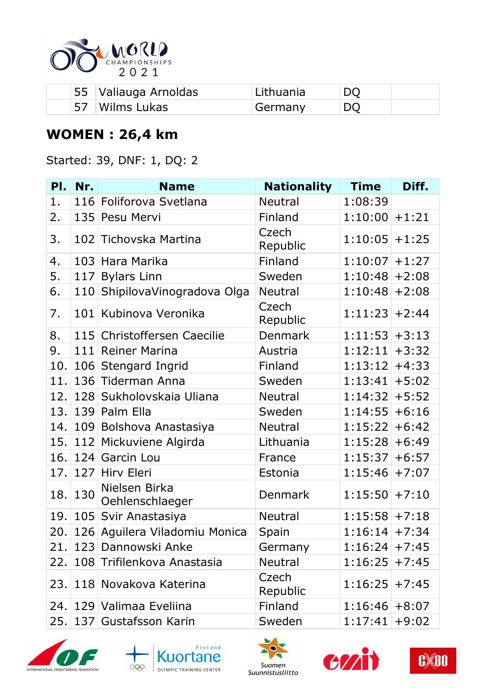

| 55 Valiauga Arnoldas | Lithuania |    |
|----------------------|-----------|----|
| 57 Wilms Lukas       | Germany   | DO |

### **WOMEN : 26,4 km**

Started: 39, DNF: 1, DQ: 2

| PI. | Nr. | <b>Name</b>                      | <b>Nationality</b> | <b>Time</b>      | Diff.   |
|-----|-----|----------------------------------|--------------------|------------------|---------|
| 1.  |     | 116 Foliforova Svetlana          | <b>Neutral</b>     | 1:08:39          |         |
| 2.  | 135 | Pesu Mervi                       | Finland            | 1:10:00          | $+1:21$ |
| 3.  | 102 | Tichovska Martina                | Czech<br>Republic  | $1:10:05$ +1:25  |         |
| 4.  |     | 103 Hara Marika                  | Finland            | $1:10:07$ +1:27  |         |
| 5.  | 117 | <b>Bylars Linn</b>               | Sweden             | 1:10:48          | $+2:08$ |
| 6.  | 110 | ShipilovaVinogradova Olga        | <b>Neutral</b>     | $1:10:48$ + 2:08 |         |
| 7.  | 101 | Kubinova Veronika                | Czech<br>Republic  | $1:11:23$ + 2:44 |         |
| 8.  |     | 115 Christoffersen Caecilie      | <b>Denmark</b>     | $1:11:53$ + 3:13 |         |
| 9.  | 111 | <b>Reiner Marina</b>             | Austria            | 1:12:11          | $+3:32$ |
| 10. |     | 106 Stengard Ingrid              | Finland            | 1:13:12          | $+4:33$ |
| 11. |     | 136 Tiderman Anna                | Sweden             | $1:13:41$ + 5:02 |         |
| 12. |     | 128 Sukholovskaia Uliana         | <b>Neutral</b>     | 1:14:32          | $+5:52$ |
| 13. |     | 139 Palm Ella                    | Sweden             | 1:14:55          | $+6:16$ |
| 14. |     | 109 Bolshova Anastasiya          | <b>Neutral</b>     | 1:15:22          | $+6:42$ |
| 15. |     | 112 Mickuviene Algirda           | Lithuania          | 1:15:28          | $+6:49$ |
| 16. | 124 | Garcin Lou                       | France             | 1:15:37          | $+6:57$ |
| 17. | 127 | Hirv Eleri                       | Estonia            | 1:15:46          | $+7:07$ |
| 18. | 130 | Nielsen Birka<br>Oehlenschlaeger | Denmark            | $1:15:50$ + 7:10 |         |
| 19. |     | 105 Svir Anastasiya              | Neutral            | $1:15:58$ + 7:18 |         |
| 20. |     | 126 Aguilera Viladomiu Monica    | Spain              | $1:16:14$ + 7:34 |         |
|     |     | 21.   123   Dannowski Anke       | Germany            | $1:16:24$ + 7:45 |         |
| 22. |     | 108 Trifilenkova Anastasia       | <b>Neutral</b>     | $1:16:25$ + 7:45 |         |
|     |     | 23.   118   Novakova Katerina    | Czech<br>Republic  | $1:16:25$ + 7:45 |         |
|     |     | 24.   129   Valimaa Eveliina     | Finland            | $1:16:46$ +8:07  |         |
| 25. |     | 137 Gustafsson Karin             | Sweden             | $1:17:41$ +9:02  |         |









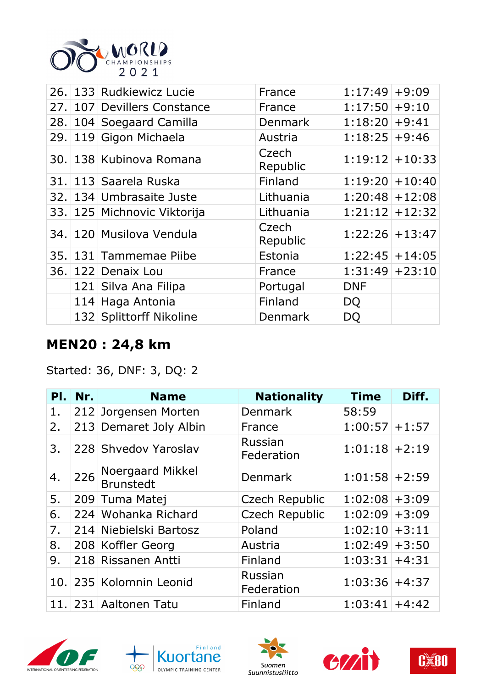

|  | 26. 133 Rudkiewicz Lucie    | France            | $1:17:49$ +9:09   |  |
|--|-----------------------------|-------------------|-------------------|--|
|  | 27. 107 Devillers Constance | France            | $1:17:50$ +9:10   |  |
|  | 28. 104 Soegaard Camilla    | <b>Denmark</b>    | $1:18:20+9:41$    |  |
|  | 29. 119 Gigon Michaela      | Austria           | $1:18:25$ +9:46   |  |
|  | 30. 138 Kubinova Romana     | Czech<br>Republic | $1:19:12$ + 10:33 |  |
|  | 31. 113 Saarela Ruska       | Finland           | $1:19:20$ + 10:40 |  |
|  | 32. 134 Umbrasaite Juste    | Lithuania         | $1:20:48$ + 12:08 |  |
|  | 33. 125 Michnovic Viktorija | Lithuania         | $1:21:12$ + 12:32 |  |
|  | 34. 120 Musilova Vendula    | Czech<br>Republic | $1:22:26$ + 13:47 |  |
|  | 35. 131 Tammemae Piibe      | Estonia           | $1:22:45$ + 14:05 |  |
|  | 36. 122 Denaix Lou          | France            | $1:31:49$ + 23:10 |  |
|  | 121 Silva Ana Filipa        | Portugal          | <b>DNF</b>        |  |
|  | 114 Haga Antonia            | Finland           | DQ                |  |
|  | 132 Splittorff Nikoline     | Denmark           | DQ                |  |

#### **MEN20 : 24,8 km**

Started: 36, DNF: 3, DQ: 2

| PI. | Nr. | <b>Name</b>                   | <b>Nationality</b>    | <b>Time</b>      | Diff.   |
|-----|-----|-------------------------------|-----------------------|------------------|---------|
| 1.  |     | 212 Jorgensen Morten          | <b>Denmark</b>        | 58:59            |         |
| 2.  |     | 213 Demaret Joly Albin        | France                | 1:00:57          | $+1:57$ |
| 3.  |     | 228 Shvedov Yaroslav          | Russian<br>Federation | $1:01:18$ + 2:19 |         |
| 4.  | 226 | Noergaard Mikkel<br>Brunstedt | Denmark               | $1:01:58$ + 2:59 |         |
| 5.  |     | 209 Tuma Matej                | Czech Republic        | $1:02:08$ + 3:09 |         |
| 6.  |     | 224 Wohanka Richard           | <b>Czech Republic</b> | 1:02:09          | $+3:09$ |
| 7.  |     | 214 Niebielski Bartosz        | Poland                | $1:02:10$ + 3:11 |         |
| 8.  |     | 208 Koffler Georg             | Austria               | $1:02:49$ + 3:50 |         |
| 9.  |     | 218 Rissanen Antti            | Finland               | $1:03:31+4:31$   |         |
|     |     | 10. 235 Kolomnin Leonid       | Russian<br>Federation | $1:03:36$ +4:37  |         |
|     |     | 11. 231 Aaltonen Tatu         | Finland               | $1:03:41$ +4:42  |         |









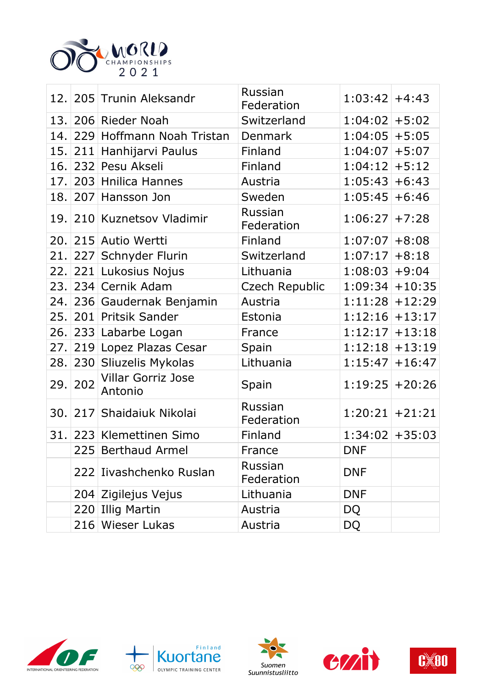

|      |     | 12. 205 Trunin Aleksandr      | Russian<br>Federation | $1:03:42$ +4:43   |          |
|------|-----|-------------------------------|-----------------------|-------------------|----------|
|      |     | 13. 206 Rieder Noah           | Switzerland           | $1:04:02$ + 5:02  |          |
| 14.  |     | 229 Hoffmann Noah Tristan     | Denmark               | 1:04:05           | $+5:05$  |
| 15.  | 211 | Hanhijarvi Paulus             | Finland               | 1:04:07           | $+5:07$  |
| 16.  |     | 232 Pesu Akseli               | Finland               | 1:04:12           | $+5:12$  |
| 17.  |     | 203 Hnilica Hannes            | Austria               | 1:05:43           | $+6:43$  |
| 18.  |     | 207 Hansson Jon               | Sweden                | 1:05:45           | $+6:46$  |
|      |     | 19. 210 Kuznetsov Vladimir    | Russian<br>Federation | 1:06:27           | $+7:28$  |
| 20.  |     | 215 Autio Wertti              | Finland               | 1:07:07           | $+8:08$  |
| 21.  |     | 227 Schnyder Flurin           | Switzerland           | 1:07:17           | $+8:18$  |
| 22.  |     | 221 Lukosius Nojus            | Lithuania             | 1:08:03           | $+9:04$  |
| 23.1 |     | 234 Cernik Adam               | Czech Republic        | 1:09:34           | $+10:35$ |
|      |     | 24. 236 Gaudernak Benjamin    | Austria               | 1:11:28           | $+12:29$ |
| 25.  |     | 201 Pritsik Sander            | Estonia               | $1:12:16$ + 13:17 |          |
|      |     | 26. 233 Labarbe Logan         | France                | 1:12:17           | $+13:18$ |
|      |     | 27. 219 Lopez Plazas Cesar    | Spain                 | $1:12:18$ + 13:19 |          |
| 28.  |     | 230 Sliuzelis Mykolas         | Lithuania             | 1:15:47           | $+16:47$ |
| 29.  | 202 | Villar Gorriz Jose<br>Antonio | Spain                 | $1:19:25$ + 20:26 |          |
| 30.  |     | 217 Shaidaiuk Nikolai         | Russian<br>Federation | $1:20:21$ + 21:21 |          |
| 31.  |     | 223 Klemettinen Simo          | Finland               | 1:34:02           | $+35:03$ |
|      |     | 225 Berthaud Armel            | France                | <b>DNF</b>        |          |
|      |     | 222 Iivashchenko Ruslan       | Russian<br>Federation | <b>DNF</b>        |          |
|      |     | 204 Zigilejus Vejus           | Lithuania             | <b>DNF</b>        |          |
|      |     | 220 Illig Martin              | Austria               | DQ                |          |
|      |     | 216 Wieser Lukas              | Austria               | <b>DQ</b>         |          |









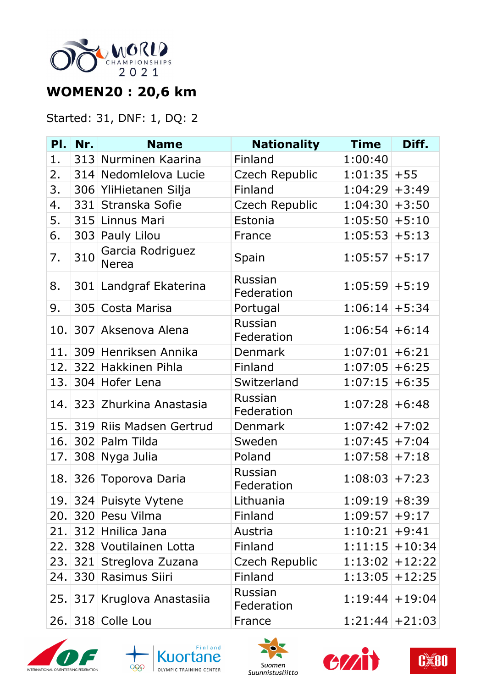

## **WOMEN20 : 20,6 km**

#### Started: 31, DNF: 1, DQ: 2

| PI. | Nr.      | <b>Name</b>                      | <b>Nationality</b>    | <b>Time</b>       | Diff.             |
|-----|----------|----------------------------------|-----------------------|-------------------|-------------------|
| 1.  |          | 313 Nurminen Kaarina             | Finland               | 1:00:40           |                   |
| 2.  |          | 314 Nedomlelova Lucie            | Czech Republic        | $1:01:35$ + 55    |                   |
| 3.  |          | 306 YliHietanen Silja            | Finland               | $1:04:29$ + 3:49  |                   |
| 4.  | 331      | Stranska Sofie                   | <b>Czech Republic</b> | 1:04:30           | $+3:50$           |
| 5.  |          | 315 Linnus Mari                  | Estonia               | $1:05:50$ + 5:10  |                   |
| 6.  | 303      | Pauly Lilou                      | France                | 1:05:53           | $+5:13$           |
| 7.  | 310      | Garcia Rodriguez<br><b>Nerea</b> | Spain                 | $1:05:57$ + 5:17  |                   |
| 8.  |          | 301 Landgraf Ekaterina           | Russian<br>Federation | $1:05:59$ + 5:19  |                   |
| 9.  |          | 305 Costa Marisa                 | Portugal              | $1:06:14$ + 5:34  |                   |
| 10. |          | 307 Aksenova Alena               | Russian<br>Federation | $1:06:54$ +6:14   |                   |
| 11. |          | 309 Henriksen Annika             | Denmark               | $1:07:01$ +6:21   |                   |
| 12. |          | 322 Hakkinen Pihla               | Finland               | $1:07:05$ +6:25   |                   |
| 13. |          | 304 Hofer Lena                   | Switzerland           | 1:07:15           | $+6:35$           |
|     |          | 14. 323 Zhurkina Anastasia       | Russian<br>Federation | $1:07:28$ +6:48   |                   |
|     |          | 15. 319 Riis Madsen Gertrud      | <b>Denmark</b>        | $1:07:42$ +7:02   |                   |
| 16. |          | 302 Palm Tilda                   | Sweden                | $1:07:45$ +7:04   |                   |
| 17. |          | 308 Nyga Julia                   | Poland                | $1:07:58$ + 7:18  |                   |
|     |          | 18. 326 Toporova Daria           | Russian<br>Federation | $1:08:03$ + 7:23  |                   |
|     |          | 19. 324 Puisyte Vytene           | Lithuania             | $1:09:19$ +8:39   |                   |
|     |          | 20. 320 Pesu Vilma               | Finland               | $1:09:57$ +9:17   |                   |
|     |          | 21. 312 Hnilica Jana             | Austria               | $1:10:21$ +9:41   |                   |
|     |          | 22. 328 Voutilainen Lotta        | Finland               | $1:11:15$ + 10:34 |                   |
|     | 23.  321 | Streglova Zuzana                 | Czech Republic        | $1:13:02$ + 12:22 |                   |
|     |          | 24. 330 Rasimus Siiri            | Finland               |                   | $1:13:05$ + 12:25 |
| 25. |          | 317 Kruglova Anastasiia          | Russian<br>Federation |                   | $1:19:44$ + 19:04 |
|     |          | 26. 318 Colle Lou                | France                | $1:21:44$ + 21:03 |                   |